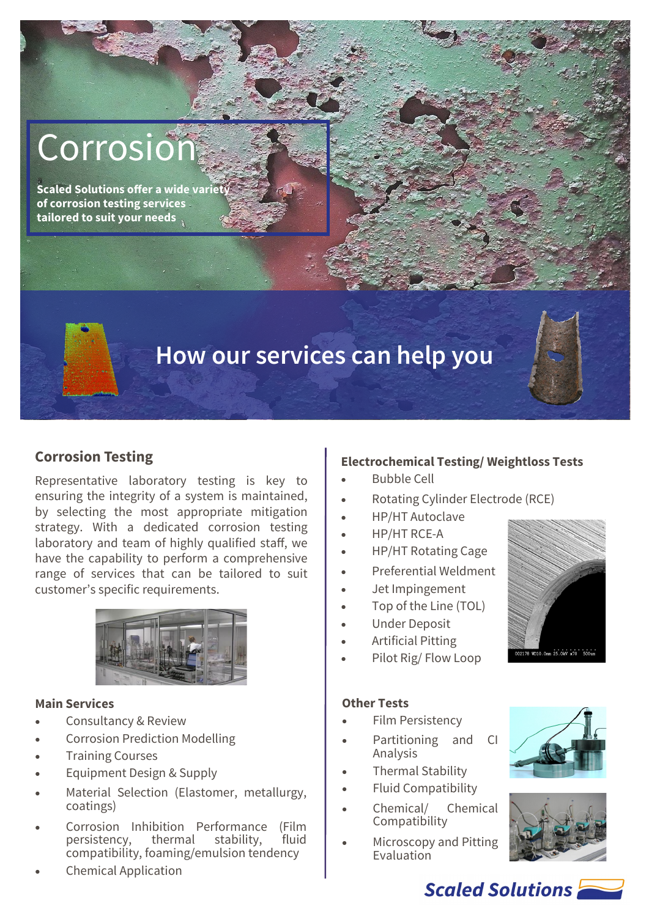# Corrosion

**Scaled Solutions offer a wide variety of corrosion testing services tailored to suit your needs**

# **How our services can help you**

# **Corrosion Testing**

Representative laboratory testing is key to ensuring the integrity of a system is maintained, by selecting the most appropriate mitigation strategy. With a dedicated corrosion testing laboratory and team of highly qualified staff, we have the capability to perform a comprehensive range of services that can be tailored to suit customer's specific requirements.



#### **Main Services**

- Consultancy & Review
- Corrosion Prediction Modelling
- Training Courses
- Equipment Design & Supply
- Material Selection (Elastomer, metallurgy, coatings)
- Corrosion Inhibition Performance (Film<br>persistency. thermal stability. fluid persistency, thermal stability, compatibility, foaming/emulsion tendency
- Chemical Application

### **Electrochemical Testing/ Weightloss Tests**

- Bubble Cell
- Rotating Cylinder Electrode (RCE)
- HP/HT Autoclave
- HP/HT RCE-A
- HP/HT Rotating Cage
- Preferential Weldment
- Jet Impingement
- Top of the Line (TOL)
- Under Deposit
- Artificial Pitting
- Pilot Rig/ Flow Loop

#### **Other Tests**

- Film Persistency
- Partitioning and CI Analysis
- Thermal Stability
- Fluid Compatibility
- Chemical/ Chemical **Compatibility**
- Microscopy and Pitting Evaluation